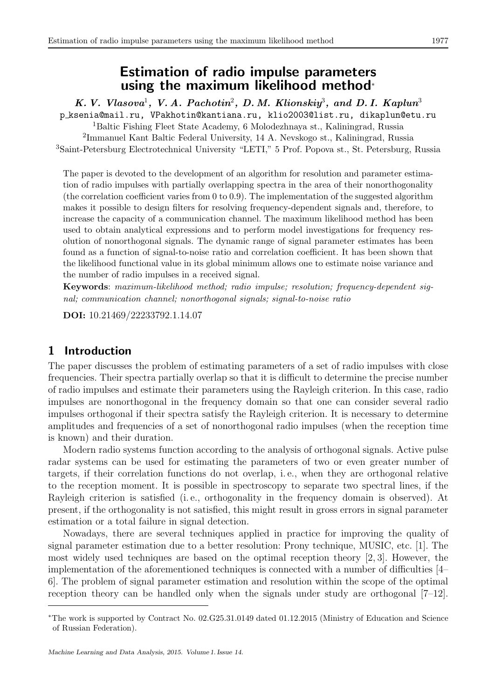# Estimation of radio impulse parameters using the maximum likelihood method<sup>∗</sup>

K. V. Vlasova<sup>1</sup>, V.A. Pachotin<sup>2</sup>, D.M. Klionskiy<sup>3</sup>, and D.I. Kaplun<sup>3</sup> p ksenia@mail.ru, VPakhotin@kantiana.ru, klio2003@list.ru, dikaplun@etu.ru <sup>1</sup>Baltic Fishing Fleet State Academy, 6 Molodezhnaya st., Kaliningrad, Russia 2 Immanuel Kant Baltic Federal University, 14 A. Nevskogo st., Kaliningrad, Russia <sup>3</sup>Saint-Petersburg Electrotechnical University "LETI," 5 Prof. Popova st., St. Petersburg, Russia

The paper is devoted to the development of an algorithm for resolution and parameter estimation of radio impulses with partially overlapping spectra in the area of their nonorthogonality (the correlation coefficient varies from  $0 \text{ to } 0.9$ ). The implementation of the suggested algorithm makes it possible to design filters for resolving frequency-dependent signals and, therefore, to increase the capacity of a communication channel. The maximum likelihood method has been used to obtain analytical expressions and to perform model investigations for frequency resolution of nonorthogonal signals. The dynamic range of signal parameter estimates has been found as a function of signal-to-noise ratio and correlation coefficient. It has been shown that the likelihood functional value in its global minimum allows one to estimate noise variance and the number of radio impulses in a received signal.

Keywords: maximum-likelihood method; radio impulse; resolution; frequency-dependent signal; communication channel; nonorthogonal signals; signal-to-noise ratio

DOI: 10.21469/22233792.1.14.07

# 1 Introduction

The paper discusses the problem of estimating parameters of a set of radio impulses with close frequencies. Their spectra partially overlap so that it is difficult to determine the precise number of radio impulses and estimate their parameters using the Rayleigh criterion. In this case, radio impulses are nonorthogonal in the frequency domain so that one can consider several radio impulses orthogonal if their spectra satisfy the Rayleigh criterion. It is necessary to determine amplitudes and frequencies of a set of nonorthogonal radio impulses (when the reception time is known) and their duration.

Modern radio systems function according to the analysis of orthogonal signals. Active pulse radar systems can be used for estimating the parameters of two or even greater number of targets, if their correlation functions do not overlap, i. e., when they are orthogonal relative to the reception moment. It is possible in spectroscopy to separate two spectral lines, if the Rayleigh criterion is satisfied (i.e., orthogonality in the frequency domain is observed). At present, if the orthogonality is not satisfied, this might result in gross errors in signal parameter estimation or a total failure in signal detection.

Nowadays, there are several techniques applied in practice for improving the quality of signal parameter estimation due to a better resolution: Prony technique, MUSIC, etc. [1]. The most widely used techniques are based on the optimal reception theory [2, 3]. However, the implementation of the aforementioned techniques is connected with a number of difficulties [4– 6]. The problem of signal parameter estimation and resolution within the scope of the optimal reception theory can be handled only when the signals under study are orthogonal [7–12].

<sup>∗</sup>The work is supported by Contract No. 02.G25.31.0149 dated 01.12.2015 (Ministry of Education and Science of Russian Federation).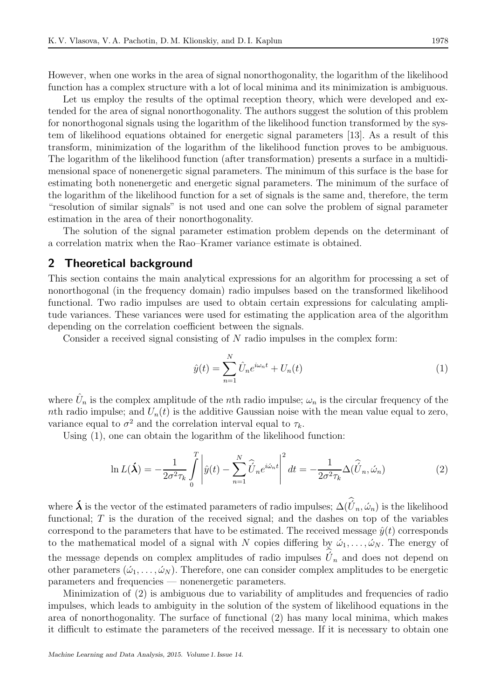However, when one works in the area of signal nonorthogonality, the logarithm of the likelihood function has a complex structure with a lot of local minima and its minimization is ambiguous.

Let us employ the results of the optimal reception theory, which were developed and extended for the area of signal nonorthogonality. The authors suggest the solution of this problem for nonorthogonal signals using the logarithm of the likelihood function transformed by the system of likelihood equations obtained for energetic signal parameters [13]. As a result of this transform, minimization of the logarithm of the likelihood function proves to be ambiguous. The logarithm of the likelihood function (after transformation) presents a surface in a multidimensional space of nonenergetic signal parameters. The minimum of this surface is the base for estimating both nonenergetic and energetic signal parameters. The minimum of the surface of the logarithm of the likelihood function for a set of signals is the same and, therefore, the term "resolution of similar signals" is not used and one can solve the problem of signal parameter estimation in the area of their nonorthogonality.

The solution of the signal parameter estimation problem depends on the determinant of a correlation matrix when the Rao–Kramer variance estimate is obtained.

#### 2 Theoretical background

This section contains the main analytical expressions for an algorithm for processing a set of nonorthogonal (in the frequency domain) radio impulses based on the transformed likelihood functional. Two radio impulses are used to obtain certain expressions for calculating amplitude variances. These variances were used for estimating the application area of the algorithm depending on the correlation coefficient between the signals.

Consider a received signal consisting of N radio impulses in the complex form:

$$
\hat{y}(t) = \sum_{n=1}^{N} \hat{U}_n e^{i\omega_n t} + U_n(t)
$$
\n(1)

where  $\hat{U}_n$  is the complex amplitude of the *n*th radio impulse;  $\omega_n$  is the circular frequency of the nth radio impulse; and  $U_n(t)$  is the additive Gaussian noise with the mean value equal to zero, variance equal to  $\sigma^2$  and the correlation interval equal to  $\tau_k$ .

Using (1), one can obtain the logarithm of the likelihood function:

$$
\ln L(\mathbf{\hat{X}}) = -\frac{1}{2\sigma^2 \tau_k} \int_0^T \left| \hat{y}(t) - \sum_{n=1}^N \hat{U}_n e^{i\omega_n t} \right|^2 dt = -\frac{1}{2\sigma^2 \tau_k} \Delta(\hat{U}_n, \hat{\omega}_n)
$$
(2)

where  $\vec{\bm{\lambda}}$  is the vector of the estimated parameters of radio impulses;  $\Delta(\hat{U}_n, \hat{\omega}_n)$  is the likelihood functional; T is the duration of the received signal; and the dashes on top of the variables correspond to the parameters that have to be estimated. The received message  $\hat{y}(t)$  corresponds to the mathematical model of a signal with N copies differing by  $\omega_1, \ldots, \omega_N$ . The energy of the message depends on complex amplitudes of radio impulses  $\hat{U}_n$  and does not depend on other parameters  $(\omega_1, \ldots, \omega_N)$ . Therefore, one can consider complex amplitudes to be energetic parameters and frequencies — nonenergetic parameters.

Minimization of (2) is ambiguous due to variability of amplitudes and frequencies of radio impulses, which leads to ambiguity in the solution of the system of likelihood equations in the area of nonorthogonality. The surface of functional (2) has many local minima, which makes it difficult to estimate the parameters of the received message. If it is necessary to obtain one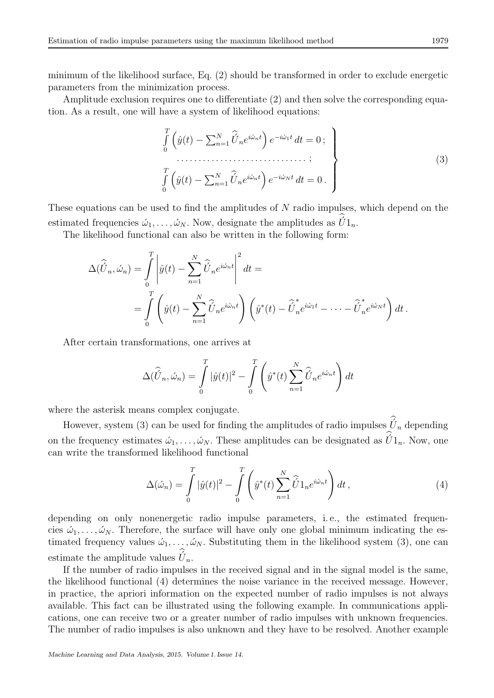minimum of the likelihood surface, Eq. (2) should be transformed in order to exclude energetic parameters from the minimization process.

Amplitude exclusion requires one to differentiate (2) and then solve the corresponding equation. As a result, one will have a system of likelihood equations:

$$
\int_{0}^{T} \left( \hat{y}(t) - \sum_{n=1}^{N} \hat{U}_n e^{i\omega_n t} \right) e^{-i\omega_1 t} dt = 0; \n\vdots \n\int_{0}^{T} \left( \hat{y}(t) - \sum_{n=1}^{N} \hat{U}_n e^{i\omega_n t} \right) e^{-i\omega_N t} dt = 0.
$$
\n(3)

These equations can be used to find the amplitudes of N radio impulses, which depend on the estimated frequencies  $\omega_1, \ldots, \omega_N$ . Now, designate the amplitudes as  $\hat{U}1_n$ .

The likelihood functional can also be written in the following form:

$$
\Delta(\widehat{U}_n, \widehat{\omega}_n) = \int_0^T \left| \widehat{y}(t) - \sum_{n=1}^N \widehat{U}_n e^{i\omega_n t} \right|^2 dt =
$$
  
= 
$$
\int_0^T \left( \widehat{y}(t) - \sum_{n=1}^N \widehat{U}_n e^{i\omega_n t} \right) \left( \widehat{y}^*(t) - \widehat{U}_n^* e^{i\omega_1 t} - \dots - \widehat{U}_n^* e^{i\omega_N t} \right) dt.
$$

After certain transformations, one arrives at

$$
\Delta(\widehat{U}_n, \widehat{\omega}_n) = \int_0^T |\widehat{y}(t)|^2 - \int_0^T \left(\widehat{y}^*(t) \sum_{n=1}^N \widehat{U}_n e^{i\widehat{\omega}_n t}\right) dt
$$

where the asterisk means complex conjugate.

However, system (3) can be used for finding the amplitudes of radio impulses  $\acute{U}_n$  depending on the frequency estimates  $\omega_1, \ldots, \omega_N$ . These amplitudes can be designated as  $\hat{U}1_n$ . Now, one can write the transformed likelihood functional

$$
\Delta(\omega_n) = \int_0^T |\hat{y}(t)|^2 - \int_0^T \left(\hat{y}^*(t) \sum_{n=1}^N \hat{U} 1_n e^{i\omega_n t}\right) dt,
$$
\n(4)

depending on only nonenergetic radio impulse parameters, i.e., the estimated frequencies  $\omega_1, \ldots, \omega_N$ . Therefore, the surface will have only one global minimum indicating the estimated frequency values  $\omega_1, \ldots, \omega_N$ . Substituting them in the likelihood system (3), one can estimate the amplitude values  $\hat{U}_n$ .

If the number of radio impulses in the received signal and in the signal model is the same, the likelihood functional (4) determines the noise variance in the received message. However, in practice, the apriori information on the expected number of radio impulses is not always available. This fact can be illustrated using the following example. In communications applications, one can receive two or a greater number of radio impulses with unknown frequencies. The number of radio impulses is also unknown and they have to be resolved. Another example

Machine Learning and Data Analysis, 2015. Volume 1. Issue 14.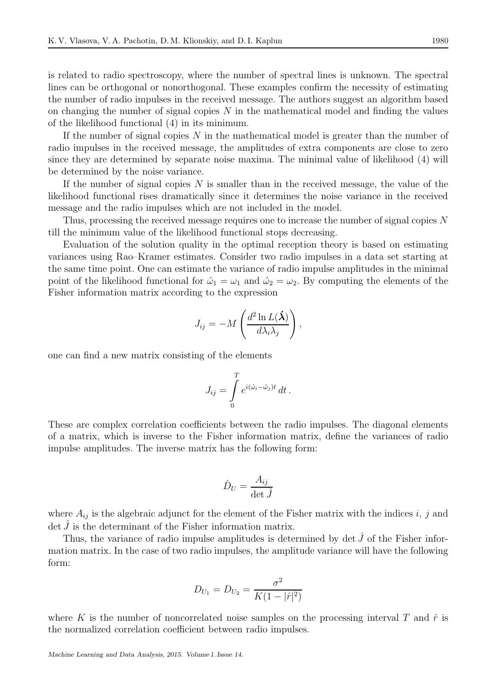is related to radio spectroscopy, where the number of spectral lines is unknown. The spectral lines can be orthogonal or nonorthogonal. These examples confirm the necessity of estimating the number of radio impulses in the received message. The authors suggest an algorithm based on changing the number of signal copies  $N$  in the mathematical model and finding the values of the likelihood functional (4) in its minimum.

If the number of signal copies  $N$  in the mathematical model is greater than the number of radio impulses in the received message, the amplitudes of extra components are close to zero since they are determined by separate noise maxima. The minimal value of likelihood (4) will be determined by the noise variance.

If the number of signal copies  $N$  is smaller than in the received message, the value of the likelihood functional rises dramatically since it determines the noise variance in the received message and the radio impulses which are not included in the model.

Thus, processing the received message requires one to increase the number of signal copies N till the minimum value of the likelihood functional stops decreasing.

Evaluation of the solution quality in the optimal reception theory is based on estimating variances using Rao–Kramer estimates. Consider two radio impulses in a data set starting at the same time point. One can estimate the variance of radio impulse amplitudes in the minimal point of the likelihood functional for  $\omega_1 = \omega_1$  and  $\omega_2 = \omega_2$ . By computing the elements of the Fisher information matrix according to the expression

$$
J_{ij} = -M\left(\frac{d^2\ln L(\hat{\lambda})}{d\lambda_i\lambda_j}\right),\,
$$

one can find a new matrix consisting of the elements

$$
J_{ij} = \int\limits_0^T e^{i(\omega_i - \omega_j)t} dt.
$$

These are complex correlation coefficients between the radio impulses. The diagonal elements of a matrix, which is inverse to the Fisher information matrix, define the variances of radio impulse amplitudes. The inverse matrix has the following form:

$$
\hat{D}_U = \frac{A_{ij}}{\det \hat{J}}
$$

where  $A_{ij}$  is the algebraic adjunct for the element of the Fisher matrix with the indices i, j and  $\det J$  is the determinant of the Fisher information matrix.

Thus, the variance of radio impulse amplitudes is determined by det  $\hat{J}$  of the Fisher information matrix. In the case of two radio impulses, the amplitude variance will have the following form:

$$
D_{U_1} = D_{U_2} = \frac{\sigma^2}{K(1 - |\hat{r}|^2)}
$$

where K is the number of noncorrelated noise samples on the processing interval T and  $\hat{r}$  is the normalized correlation coefficient between radio impulses.

Machine Learning and Data Analysis, 2015. Volume 1. Issue 14.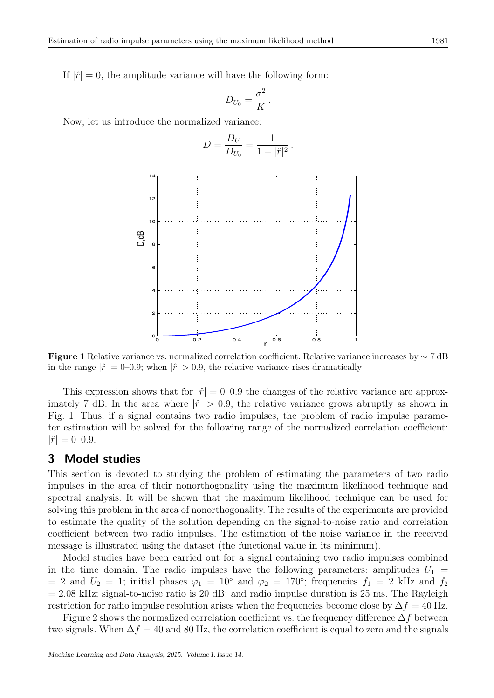If  $|\hat{r}| = 0$ , the amplitude variance will have the following form:

$$
D_{U_0} = \frac{\sigma^2}{K}.
$$

Now, let us introduce the normalized variance:

$$
D = \frac{D_U}{D_{U_0}} = \frac{1}{1 - |\hat{r}|^2}.
$$



Figure 1 Relative variance vs. normalized correlation coefficient. Relative variance increases by ∼ 7 dB in the range  $|\hat{r}| = 0$ –0.9; when  $|\hat{r}| > 0.9$ , the relative variance rises dramatically

This expression shows that for  $|\hat{r}| = 0$ –0.9 the changes of the relative variance are approximately 7 dB. In the area where  $|\hat{r}| > 0.9$ , the relative variance grows abruptly as shown in Fig. 1. Thus, if a signal contains two radio impulses, the problem of radio impulse parameter estimation will be solved for the following range of the normalized correlation coefficient:  $|\hat{r}| = 0 - 0.9.$ 

#### 3 Model studies

This section is devoted to studying the problem of estimating the parameters of two radio impulses in the area of their nonorthogonality using the maximum likelihood technique and spectral analysis. It will be shown that the maximum likelihood technique can be used for solving this problem in the area of nonorthogonality. The results of the experiments are provided to estimate the quality of the solution depending on the signal-to-noise ratio and correlation coefficient between two radio impulses. The estimation of the noise variance in the received message is illustrated using the dataset (the functional value in its minimum).

Model studies have been carried out for a signal containing two radio impulses combined in the time domain. The radio impulses have the following parameters: amplitudes  $U_1$  = = 2 and  $U_2 = 1$ ; initial phases  $\varphi_1 = 10^\circ$  and  $\varphi_2 = 170^\circ$ ; frequencies  $f_1 = 2$  kHz and  $f_2$  $= 2.08$  kHz; signal-to-noise ratio is 20 dB; and radio impulse duration is 25 ms. The Rayleigh restriction for radio impulse resolution arises when the frequencies become close by  $\Delta f = 40$  Hz.

Figure 2 shows the normalized correlation coefficient vs. the frequency difference  $\Delta f$  between two signals. When  $\Delta f = 40$  and 80 Hz, the correlation coefficient is equal to zero and the signals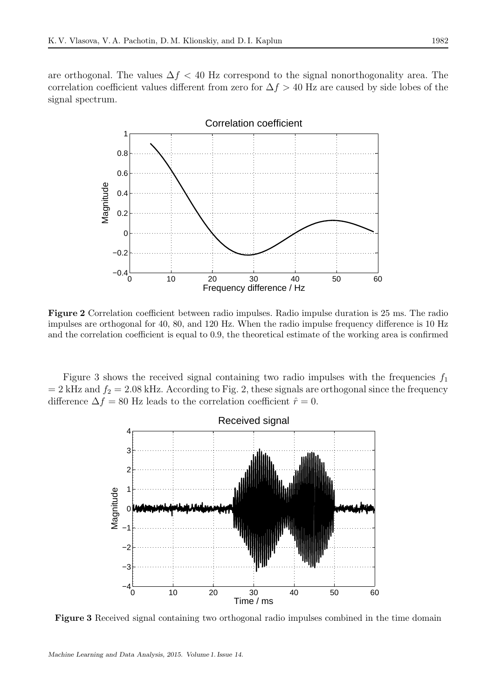are orthogonal. The values  $\Delta f < 40$  Hz correspond to the signal nonorthogonality area. The correlation coefficient values different from zero for  $\Delta f > 40$  Hz are caused by side lobes of the signal spectrum.



Figure 2 Correlation coefficient between radio impulses. Radio impulse duration is 25 ms. The radio impulses are orthogonal for 40, 80, and 120 Hz. When the radio impulse frequency difference is 10 Hz and the correlation coefficient is equal to 0.9, the theoretical estimate of the working area is confirmed

Figure 3 shows the received signal containing two radio impulses with the frequencies  $f_1$  $= 2$  kHz and  $f_2 = 2.08$  kHz. According to Fig. 2, these signals are orthogonal since the frequency difference  $\Delta f = 80$  Hz leads to the correlation coefficient  $\hat{r} = 0$ .



Figure 3 Received signal containing two orthogonal radio impulses combined in the time domain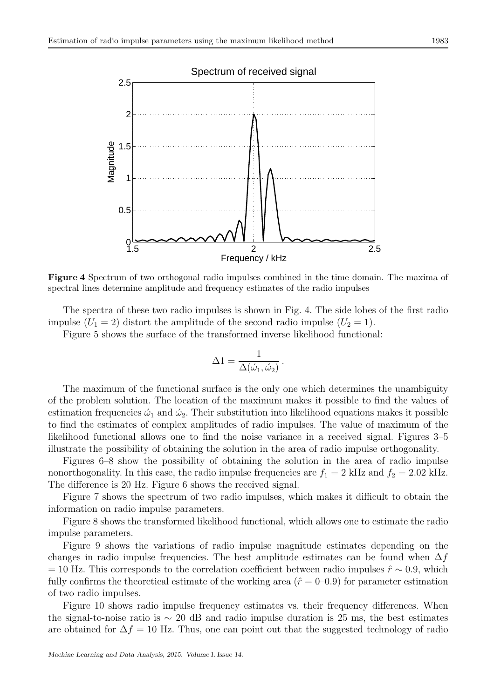

Figure 4 Spectrum of two orthogonal radio impulses combined in the time domain. The maxima of spectral lines determine amplitude and frequency estimates of the radio impulses

The spectra of these two radio impulses is shown in Fig. 4. The side lobes of the first radio impulse  $(U_1 = 2)$  distort the amplitude of the second radio impulse  $(U_2 = 1)$ .

Figure 5 shows the surface of the transformed inverse likelihood functional:

$$
\Delta 1 = \frac{1}{\Delta(\omega_1, \omega_2)}.
$$

The maximum of the functional surface is the only one which determines the unambiguity of the problem solution. The location of the maximum makes it possible to find the values of estimation frequencies  $\hat{\omega}_1$  and  $\hat{\omega}_2$ . Their substitution into likelihood equations makes it possible to find the estimates of complex amplitudes of radio impulses. The value of maximum of the likelihood functional allows one to find the noise variance in a received signal. Figures 3–5 illustrate the possibility of obtaining the solution in the area of radio impulse orthogonality.

Figures 6–8 show the possibility of obtaining the solution in the area of radio impulse nonorthogonality. In this case, the radio impulse frequencies are  $f_1 = 2$  kHz and  $f_2 = 2.02$  kHz. The difference is 20 Hz. Figure 6 shows the received signal.

Figure 7 shows the spectrum of two radio impulses, which makes it difficult to obtain the information on radio impulse parameters.

Figure 8 shows the transformed likelihood functional, which allows one to estimate the radio impulse parameters.

Figure 9 shows the variations of radio impulse magnitude estimates depending on the changes in radio impulse frequencies. The best amplitude estimates can be found when  $\Delta f$  $= 10$  Hz. This corresponds to the correlation coefficient between radio impulses  $\hat{r} \sim 0.9$ , which fully confirms the theoretical estimate of the working area  $(\hat{r} = 0-0.9)$  for parameter estimation of two radio impulses.

Figure 10 shows radio impulse frequency estimates vs. their frequency differences. When the signal-to-noise ratio is  $\sim 20$  dB and radio impulse duration is 25 ms, the best estimates are obtained for  $\Delta f = 10$  Hz. Thus, one can point out that the suggested technology of radio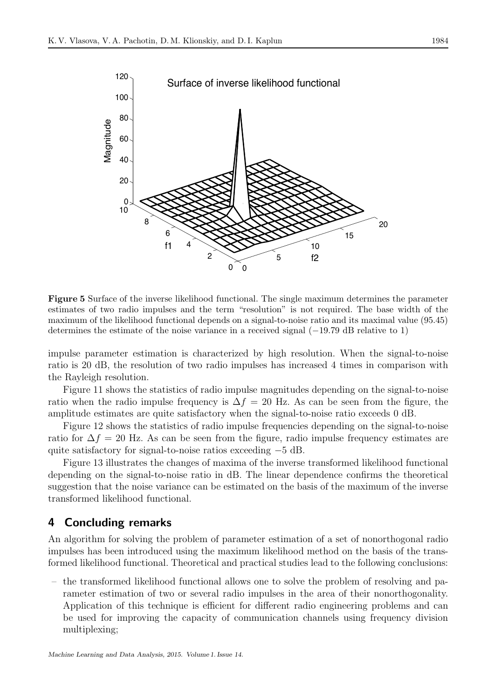

Figure 5 Surface of the inverse likelihood functional. The single maximum determines the parameter estimates of two radio impulses and the term "resolution" is not required. The base width of the maximum of the likelihood functional depends on a signal-to-noise ratio and its maximal value (95.45) determines the estimate of the noise variance in a received signal (−19.79 dB relative to 1)

impulse parameter estimation is characterized by high resolution. When the signal-to-noise ratio is 20 dB, the resolution of two radio impulses has increased 4 times in comparison with the Rayleigh resolution.

Figure 11 shows the statistics of radio impulse magnitudes depending on the signal-to-noise ratio when the radio impulse frequency is  $\Delta f = 20$  Hz. As can be seen from the figure, the amplitude estimates are quite satisfactory when the signal-to-noise ratio exceeds 0 dB.

Figure 12 shows the statistics of radio impulse frequencies depending on the signal-to-noise ratio for  $\Delta f = 20$  Hz. As can be seen from the figure, radio impulse frequency estimates are quite satisfactory for signal-to-noise ratios exceeding −5 dB.

Figure 13 illustrates the changes of maxima of the inverse transformed likelihood functional depending on the signal-to-noise ratio in dB. The linear dependence confirms the theoretical suggestion that the noise variance can be estimated on the basis of the maximum of the inverse transformed likelihood functional.

### 4 Concluding remarks

An algorithm for solving the problem of parameter estimation of a set of nonorthogonal radio impulses has been introduced using the maximum likelihood method on the basis of the transformed likelihood functional. Theoretical and practical studies lead to the following conclusions:

– the transformed likelihood functional allows one to solve the problem of resolving and parameter estimation of two or several radio impulses in the area of their nonorthogonality. Application of this technique is efficient for different radio engineering problems and can be used for improving the capacity of communication channels using frequency division multiplexing;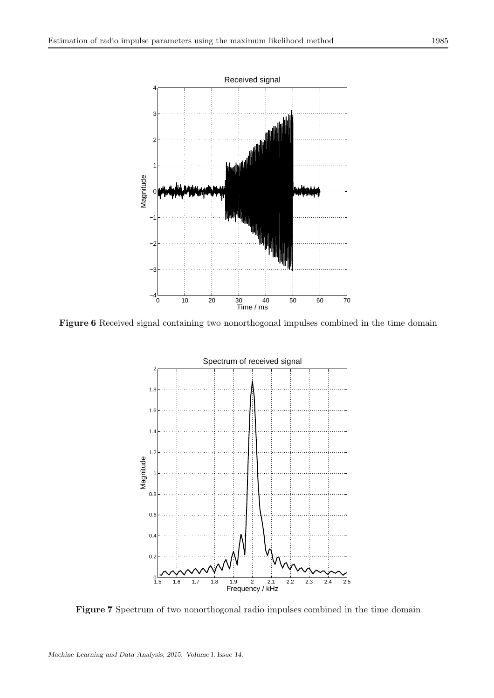

Figure 6 Received signal containing two nonorthogonal impulses combined in the time domain



Figure 7 Spectrum of two nonorthogonal radio impulses combined in the time domain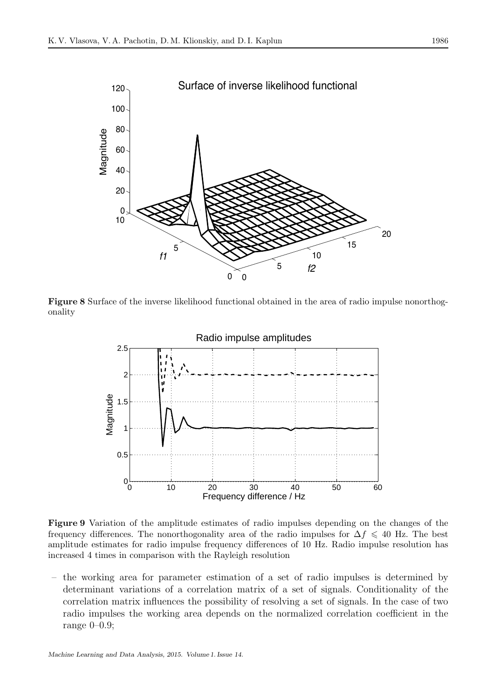

Figure 8 Surface of the inverse likelihood functional obtained in the area of radio impulse nonorthogonality



Figure 9 Variation of the amplitude estimates of radio impulses depending on the changes of the frequency differences. The nonorthogonality area of the radio impulses for  $\Delta f \leq 40$  Hz. The best amplitude estimates for radio impulse frequency differences of 10 Hz. Radio impulse resolution has increased 4 times in comparison with the Rayleigh resolution

– the working area for parameter estimation of a set of radio impulses is determined by determinant variations of a correlation matrix of a set of signals. Conditionality of the correlation matrix influences the possibility of resolving a set of signals. In the case of two radio impulses the working area depends on the normalized correlation coefficient in the range 0–0.9;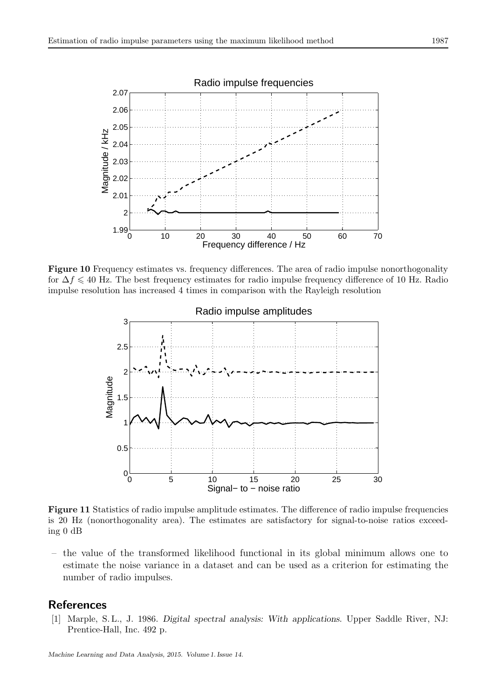

Figure 10 Frequency estimates vs. frequency differences. The area of radio impulse nonorthogonality for  $\Delta f \leq 40$  Hz. The best frequency estimates for radio impulse frequency difference of 10 Hz. Radio impulse resolution has increased 4 times in comparison with the Rayleigh resolution



Figure 11 Statistics of radio impulse amplitude estimates. The difference of radio impulse frequencies is 20 Hz (nonorthogonality area). The estimates are satisfactory for signal-to-noise ratios exceeding 0 dB

– the value of the transformed likelihood functional in its global minimum allows one to estimate the noise variance in a dataset and can be used as a criterion for estimating the number of radio impulses.

## References

[1] Marple, S. L., J. 1986. *Digital spectral analysis: With applications*. Upper Saddle River, NJ: Prentice-Hall, Inc. 492 p.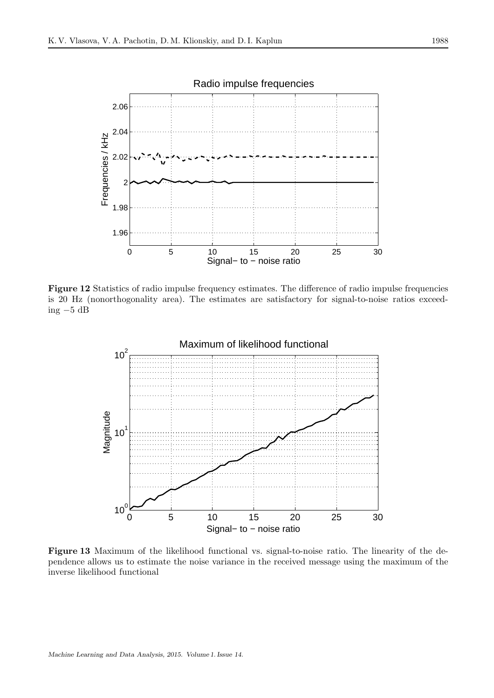

Figure 12 Statistics of radio impulse frequency estimates. The difference of radio impulse frequencies is 20 Hz (nonorthogonality area). The estimates are satisfactory for signal-to-noise ratios exceeding −5 dB



Figure 13 Maximum of the likelihood functional vs. signal-to-noise ratio. The linearity of the dependence allows us to estimate the noise variance in the received message using the maximum of the inverse likelihood functional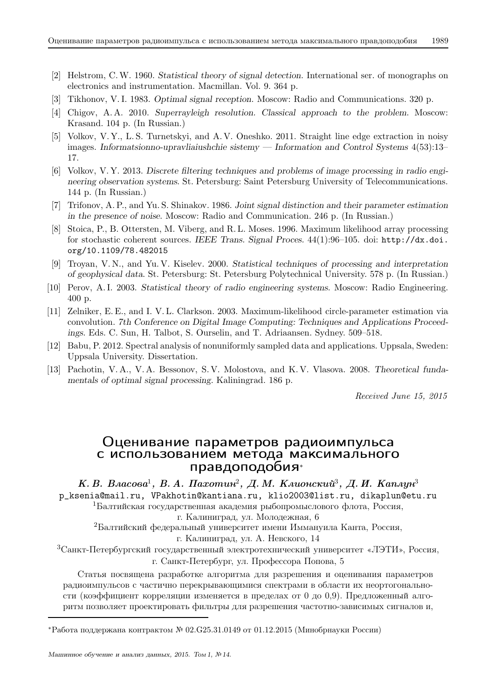- [2] Helstrom, C.W. 1960. *Statistical theory of signal detection*. International ser. of monographs on electronics and instrumentation. Macmillan. Vol. 9. 364 p.
- [3] Tikhonov, V. I. 1983. *Optimal signal reception*. Moscow: Radio and Communications. 320 p.
- [4] Chigov, A. A. 2010. *Superrayleigh resolution. Classical approach to the problem*. Moscow: Krasand. 104 p. (In Russian.)
- [5] Volkov, V. Y., L. S. Turnetskyi, and A. V. Oneshko. 2011. Straight line edge extraction in noisy images. *Informatsionno-upravliaiushchie sistemy — Information and Control Systems* 4(53):13– 17.
- [6] Volkov, V. Y. 2013. *Discrete filtering techniques and problems of image processing in radio engineering observation systems*. St. Petersburg: Saint Petersburg University of Telecommunications. 144 p. (In Russian.)
- [7] Trifonov, A. P., and Yu. S. Shinakov. 1986. *Joint signal distinction and their parameter estimation in the presence of noise*. Moscow: Radio and Communication. 246 p. (In Russian.)
- [8] Stoica, P., B. Ottersten, M. Viberg, and R. L. Moses. 1996. Maximum likelihood array processing for stochastic coherent sources. *IEEE Trans. Signal Proces.* 44(1):96–105. doi: http://dx.doi. org/10.1109/78.482015
- [9] Troyan, V. N., and Yu. V. Kiselev. 2000. *Statistical techniques of processing and interpretation of geophysical data*. St. Petersburg: St. Petersburg Polytechnical University. 578 p. (In Russian.)
- [10] Perov, A. I. 2003. *Statistical theory of radio engineering systems*. Moscow: Radio Engineering. 400 p.
- [11] Zelniker, E. E., and I. V. L. Clarkson. 2003. Maximum-likelihood circle-parameter estimation via convolution. *7th Conference on Digital Image Computing: Techniques and Applications Proceedings*. Eds. C. Sun, H. Talbot, S. Ourselin, and T. Adriaansen. Sydney. 509–518.
- [12] Babu, P. 2012. Spectral analysis of nonuniformly sampled data and applications. Uppsala, Sweden: Uppsala University. Dissertation.
- [13] Pachotin, V. A., V. A. Bessonov, S. V. Molostova, and K. V. Vlasova. 2008. *Theoretical fundamentals of optimal signal processing*. Kaliningrad. 186 p.

Received June 15, 2015

### Оценивание параметров радиоимпульса с использованием метода максимального правдоподобия<sup>∗</sup>

К. В. Власова<sup>1</sup>, В. А. Пахотин<sup>2</sup>, Д. М. Клионский<sup>3</sup>, Д. И. Каплун<sup>3</sup>

p\_ksenia@mail.ru, VPakhotin@kantiana.ru, klio2003@list.ru, dikaplun@etu.ru

 ${}^{1}$ Балтийская государственная академия рыбопромыслового флота, Россия,

г. Калиниград, ул. Молодежная, 6

<sup>2</sup>Балтийский федеральный университет имени Иммануила Канта, Россия,

г. Калиниград, ул. А. Невского, 14

 $3$ Санкт-Петербургский государственный электротехнический университет «ЛЭТИ», Россия, г. Санкт-Петербург, ул. Профессора Попова, 5

Статья посвящена разработке алгоритма для разрешения и оценивания параметров радиоимпульсов с частично перекрывающимися спектрами в области их неортогональности (коэффициент корреляции изменяется в пределах от 0 до 0,9). Предложенный алгоритм позволяет проектировать фильтры для разрешения частотно-зависимых сигналов и,

<sup>∗</sup>Работа поддержана контрактом № 02.G25.31.0149 от 01.12.2015 (Минобрнауки России)